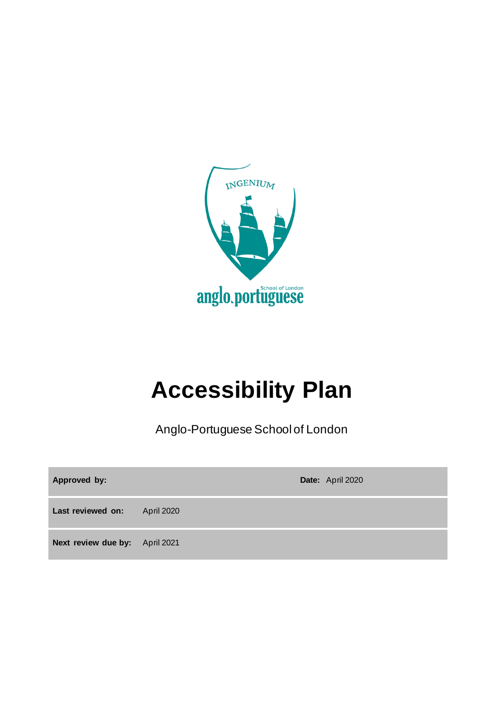

## **Accessibility Plan**

Anglo-Portuguese School of London

| Approved by:                   |            | Date: April 2020 |
|--------------------------------|------------|------------------|
| Last reviewed on:              | April 2020 |                  |
| Next review due by: April 2021 |            |                  |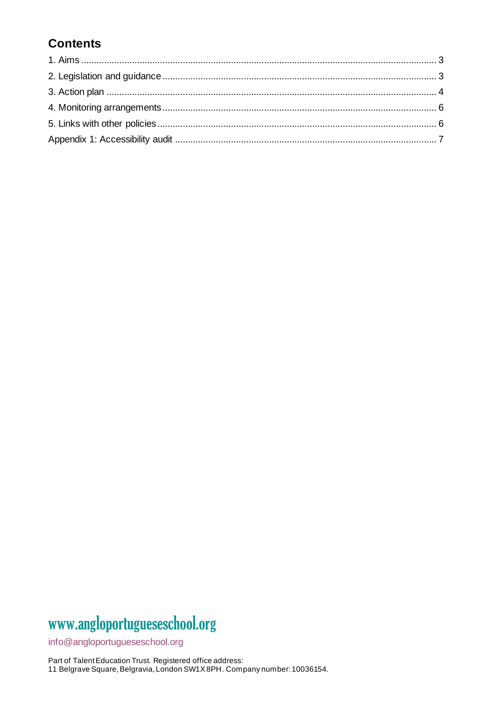### **Contents**

### www.angloportugueseschool.org

info@angloportugueseschool.org

Part of Talent Education Trust. Registered office address: 11 Belgrave Square, Belgravia, London SW1X 8PH. Company number: 10036154.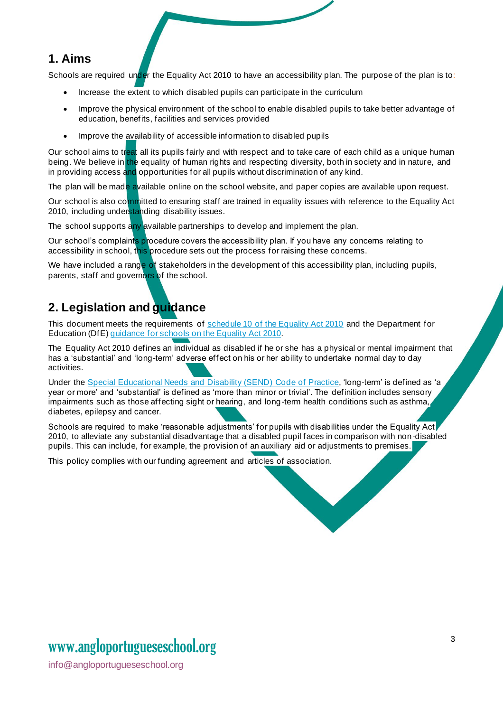#### **1. Aims**

Schools are required under the Equality Act 2010 to have an accessibility plan. The purpose of the plan is to:

- Increase the extent to which disabled pupils can participate in the curriculum
- Improve the physical environment of the school to enable disabled pupils to take better advantage of education, benefits, facilities and services provided
- Improve the availability of accessible information to disabled pupils

Our school aims to treat all its pupils fairly and with respect and to take care of each child as a unique human being. We believe in the equality of human rights and respecting diversity, both in society and in nature, and in providing access and opportunities for all pupils without discrimination of any kind.

The plan will be made available online on the school website, and paper copies are available upon request.

Our school is also committed to ensuring staff are trained in equality issues with reference to the Equality Act 2010, including understanding disability issues.

The school supports any available partnerships to develop and implement the plan.

Our school's complaints procedure covers the accessibility plan. If you have any concerns relating to accessibility in school, this procedure sets out the process for raising these concerns.

We have included a range of stakeholders in the development of this accessibility plan, including pupils, parents, staff and governors of the school.

#### **2. Legislation and guidance**

This document meets the requirements of [schedule 10 of the Equality Act 2010](http://www.legislation.gov.uk/ukpga/2010/15/schedule/10) and the Department for Education (DfE[\) guidance for schools on the Equality Act 2010.](https://www.gov.uk/government/publications/equality-act-2010-advice-for-schools)

The Equality Act 2010 defines an individual as disabled if he or she has a physical or mental impairment that has a 'substantial' and 'long-term' adverse effect on his or her ability to undertake normal day to day activities.

Under the [Special Educational Needs and Disability \(SEND\) Code of Practice](https://www.gov.uk/government/publications/send-code-of-practice-0-to-25), 'long-term' is defined as 'a year or more' and 'substantial' is defined as 'more than minor or trivial'. The definition includes sensory impairments such as those affecting sight or hearing, and long-term health conditions such as asthma, diabetes, epilepsy and cancer.

Schools are required to make 'reasonable adjustments' for pupils with disabilities under the Equality Act 2010, to alleviate any substantial disadvantage that a disabled pupil faces in comparison with non-disabled pupils. This can include, for example, the provision of an auxiliary aid or adjustments to premises.

This policy complies with our funding agreement and articles of association.

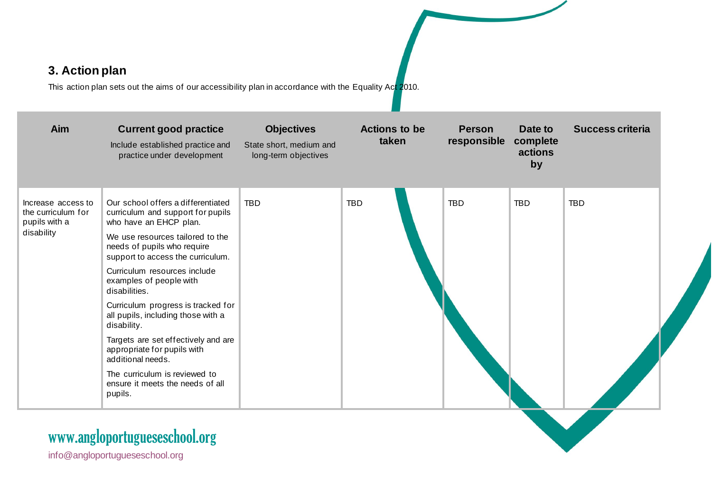### **3. Action plan**

This action plan sets out the aims of our accessibility plan in accordance with the Equality Act 2010.

| Aim                                                                     | <b>Current good practice</b><br>Include established practice and<br>practice under development                                                                                                            | <b>Objectives</b><br>State short, medium and<br>long-term objectives | <b>Actions to be</b><br>taken | <b>Person</b><br>responsible | Date to<br>complete<br>actions<br>by | <b>Success criteria</b> |
|-------------------------------------------------------------------------|-----------------------------------------------------------------------------------------------------------------------------------------------------------------------------------------------------------|----------------------------------------------------------------------|-------------------------------|------------------------------|--------------------------------------|-------------------------|
| Increase access to<br>the curriculum for<br>pupils with a<br>disability | Our school offers a differentiated<br>curriculum and support for pupils<br>who have an EHCP plan.<br>We use resources tailored to the<br>needs of pupils who require<br>support to access the curriculum. | <b>TBD</b>                                                           | <b>TBD</b>                    | <b>TBD</b>                   | <b>TBD</b>                           | <b>TBD</b>              |
|                                                                         | Curriculum resources include<br>examples of people with<br>disabilities.<br>Curriculum progress is tracked for                                                                                            |                                                                      |                               |                              |                                      |                         |
|                                                                         | all pupils, including those with a<br>disability.                                                                                                                                                         |                                                                      |                               |                              |                                      |                         |
|                                                                         | Targets are set effectively and are<br>appropriate for pupils with<br>additional needs.                                                                                                                   |                                                                      |                               |                              |                                      |                         |
|                                                                         | The curriculum is reviewed to<br>ensure it meets the needs of all<br>pupils.                                                                                                                              |                                                                      |                               |                              |                                      |                         |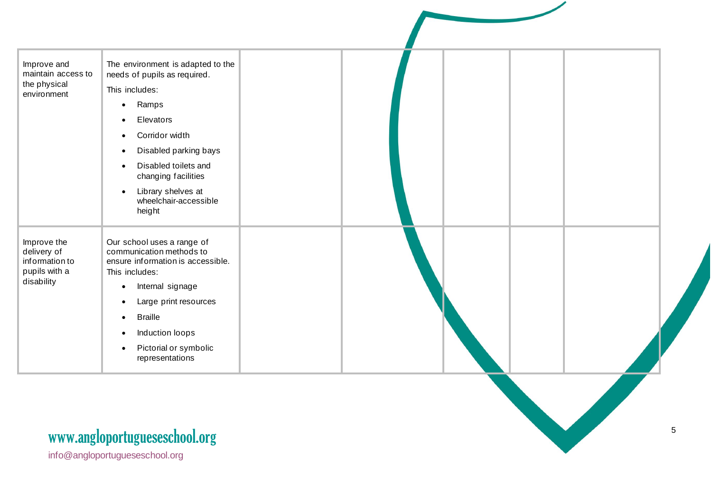| Improve and<br>maintain access to                             | The environment is adapted to the<br>needs of pupils as required.                                             |  |  |  |
|---------------------------------------------------------------|---------------------------------------------------------------------------------------------------------------|--|--|--|
| the physical                                                  | This includes:                                                                                                |  |  |  |
| environment                                                   | Ramps<br>$\bullet$                                                                                            |  |  |  |
|                                                               | Elevators                                                                                                     |  |  |  |
|                                                               | Corridor width                                                                                                |  |  |  |
|                                                               | Disabled parking bays                                                                                         |  |  |  |
|                                                               | Disabled toilets and<br>changing facilities                                                                   |  |  |  |
|                                                               | Library shelves at<br>$\bullet$<br>wheelchair-accessible<br>height                                            |  |  |  |
| Improve the<br>delivery of<br>information to<br>pupils with a | Our school uses a range of<br>communication methods to<br>ensure information is accessible.<br>This includes: |  |  |  |
| disability                                                    | Internal signage                                                                                              |  |  |  |
|                                                               | Large print resources                                                                                         |  |  |  |
|                                                               | <b>Braille</b>                                                                                                |  |  |  |
|                                                               | Induction loops                                                                                               |  |  |  |
|                                                               | Pictorial or symbolic<br>representations                                                                      |  |  |  |
|                                                               |                                                                                                               |  |  |  |
|                                                               |                                                                                                               |  |  |  |
|                                                               | www.angloportugueseschool.org                                                                                 |  |  |  |

## www[.angloportugueseschool.org](https://angloportugueseschool.org/)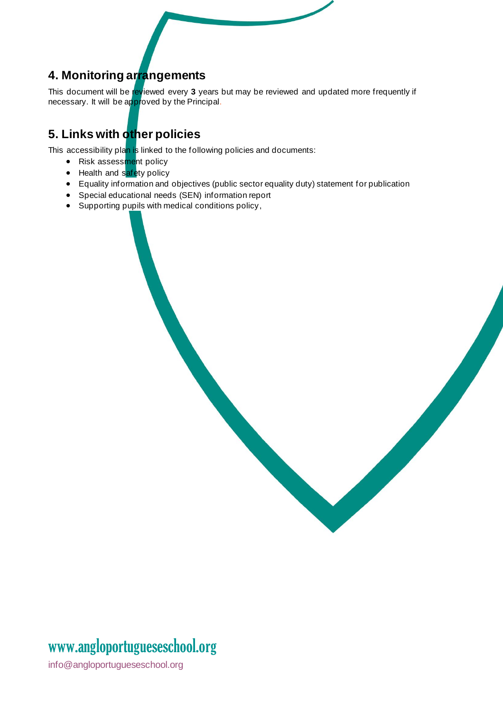### **4. Monitoring arrangements**

This document will be reviewed every **3** years but may be reviewed and updated more frequently if necessary. It will be approved by the Principal.

### **5. Links with other policies**

This accessibility plan is linked to the following policies and documents:

- Risk assessment policy
- Health and safety policy
- Equality information and objectives (public sector equality duty) statement for publication
- Special educational needs (SEN) information report
- Supporting pupils with medical conditions policy,

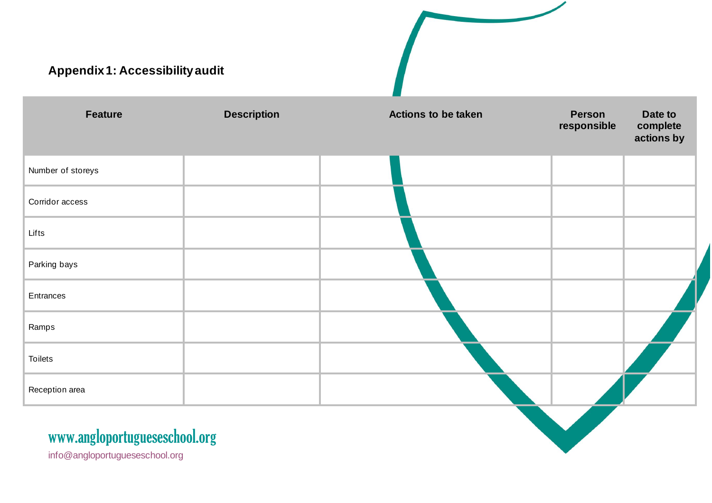# **Appendix 1: Accessibility audit Feature Description Actions to be taken Person responsible Date to complete actions by** Number of storeys Corridor access Lifts Parking bays **Entrances** Ramps Toilets Reception area

### www[.angloportugueseschool.org](https://angloportugueseschool.org/)